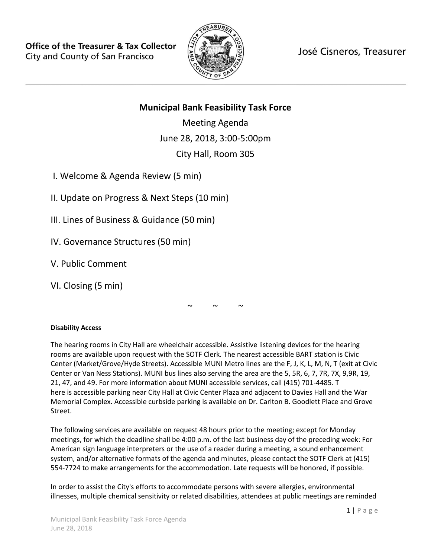

José Cisneros, Treasurer

# **Municipal Bank Feasibility Task Force**

Meeting Agenda June 28, 2018, 3:00-5:00pm City Hall, Room 305

I. Welcome & Agenda Review (5 min)

II. Update on Progress & Next Steps (10 min)

III. Lines of Business & Guidance (50 min)

IV. Governance Structures (50 min)

V. Public Comment

VI. Closing (5 min)

 $\sim$   $\sim$   $\sim$ 

## **Disability Access**

The hearing rooms in City Hall are wheelchair accessible. Assistive listening devices for the hearing rooms are available upon request with the SOTF Clerk. The nearest accessible BART station is Civic Center (Market/Grove/Hyde Streets). Accessible MUNI Metro lines are the F, J, K, L, M, N, T (exit at Civic Center or Van Ness Stations). MUNI bus lines also serving the area are the 5, 5R, 6, 7, 7R, 7X, 9,9R, 19, 21, 47, and 49. For more information about MUNI accessible services, call (415) 701-4485. T here is accessible parking near City Hall at Civic Center Plaza and adjacent to Davies Hall and the War Memorial Complex. Accessible curbside parking is available on Dr. Carlton B. Goodlett Place and Grove Street.

The following services are available on request 48 hours prior to the meeting; except for Monday meetings, for which the deadline shall be 4:00 p.m. of the last business day of the preceding week: For American sign language interpreters or the use of a reader during a meeting, a sound enhancement system, and/or alternative formats of the agenda and minutes, please contact the SOTF Clerk at (415) 554-7724 to make arrangements for the accommodation. Late requests will be honored, if possible.

In order to assist the City's efforts to accommodate persons with severe allergies, environmental illnesses, multiple chemical sensitivity or related disabilities, attendees at public meetings are reminded